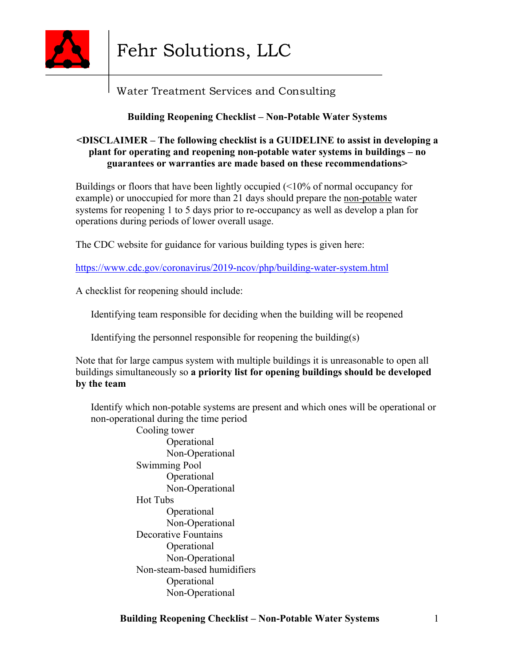

# Water Treatment Services and Consulting

# **Building Reopening Checklist – Non-Potable Water Systems**

### **<DISCLAIMER – The following checklist is a GUIDELINE to assist in developing a plant for operating and reopening non-potable water systems in buildings – no guarantees or warranties are made based on these recommendations>**

Buildings or floors that have been lightly occupied (<10% of normal occupancy for example) or unoccupied for more than 21 days should prepare the non-potable water systems for reopening 1 to 5 days prior to re-occupancy as well as develop a plan for operations during periods of lower overall usage.

The CDC website for guidance for various building types is given here:

https://www.cdc.gov/coronavirus/2019-ncov/php/building-water-system.html

A checklist for reopening should include:

Identifying team responsible for deciding when the building will be reopened

Identifying the personnel responsible for reopening the building(s)

Note that for large campus system with multiple buildings it is unreasonable to open all buildings simultaneously so **a priority list for opening buildings should be developed by the team**

 Identify which non-potable systems are present and which ones will be operational or non-operational during the time period

 Cooling tower Operational Non-Operational Swimming Pool Operational Non-Operational Hot Tubs Operational Non-Operational Decorative Fountains Operational Non-Operational Non-steam-based humidifiers Operational Non-Operational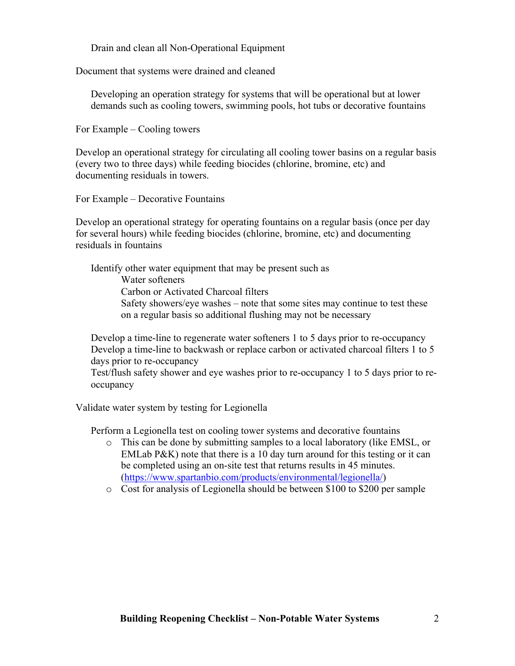Drain and clean all Non-Operational Equipment

Document that systems were drained and cleaned

 Developing an operation strategy for systems that will be operational but at lower demands such as cooling towers, swimming pools, hot tubs or decorative fountains

For Example – Cooling towers

Develop an operational strategy for circulating all cooling tower basins on a regular basis (every two to three days) while feeding biocides (chlorine, bromine, etc) and documenting residuals in towers.

For Example – Decorative Fountains

Develop an operational strategy for operating fountains on a regular basis (once per day for several hours) while feeding biocides (chlorine, bromine, etc) and documenting residuals in fountains

 Identify other water equipment that may be present such as Water softeners Carbon or Activated Charcoal filters Safety showers/eye washes – note that some sites may continue to test these on a regular basis so additional flushing may not be necessary

 Develop a time-line to regenerate water softeners 1 to 5 days prior to re-occupancy Develop a time-line to backwash or replace carbon or activated charcoal filters 1 to 5 days prior to re-occupancy

 Test/flush safety shower and eye washes prior to re-occupancy 1 to 5 days prior to reoccupancy

Validate water system by testing for Legionella

Perform a Legionella test on cooling tower systems and decorative fountains

- o This can be done by submitting samples to a local laboratory (like EMSL, or EMLab P&K) note that there is a 10 day turn around for this testing or it can be completed using an on-site test that returns results in 45 minutes. (https://www.spartanbio.com/products/environmental/legionella/)
- o Cost for analysis of Legionella should be between \$100 to \$200 per sample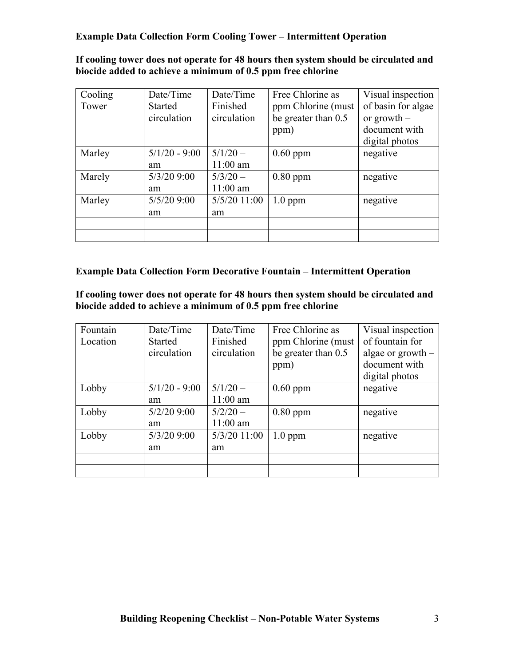# **Example Data Collection Form Cooling Tower – Intermittent Operation**

### **If cooling tower does not operate for 48 hours then system should be circulated and biocide added to achieve a minimum of 0.5 ppm free chlorine**

| Cooling | Date/Time       | Date/Time    | Free Chlorine as    | Visual inspection  |
|---------|-----------------|--------------|---------------------|--------------------|
| Tower   | <b>Started</b>  | Finished     | ppm Chlorine (must  | of basin for algae |
|         | circulation     | circulation  | be greater than 0.5 | or growth $-$      |
|         |                 |              | ppm)                | document with      |
|         |                 |              |                     | digital photos     |
| Marley  | $5/1/20 - 9:00$ | $5/1/20 -$   | $0.60$ ppm          | negative           |
|         | am              | $11:00$ am   |                     |                    |
| Marely  | $5/3/20$ 9:00   | $5/3/20 -$   | $0.80$ ppm          | negative           |
|         | am              | $11:00$ am   |                     |                    |
| Marley  | $5/5/20$ 9:00   | 5/5/20 11:00 | $1.0$ ppm           | negative           |
|         | am              | am           |                     |                    |
|         |                 |              |                     |                    |
|         |                 |              |                     |                    |

# **Example Data Collection Form Decorative Fountain – Intermittent Operation**

**If cooling tower does not operate for 48 hours then system should be circulated and biocide added to achieve a minimum of 0.5 ppm free chlorine**

| Fountain | Date/Time       | Date/Time    | Free Chlorine as    | Visual inspection   |
|----------|-----------------|--------------|---------------------|---------------------|
| Location | <b>Started</b>  | Finished     | ppm Chlorine (must  | of fountain for     |
|          | circulation     | circulation  | be greater than 0.5 | algae or $growth -$ |
|          |                 |              | ppm)                | document with       |
|          |                 |              |                     | digital photos      |
| Lobby    | $5/1/20 - 9:00$ | $5/1/20 -$   | $0.60$ ppm          | negative            |
|          | am              | $11:00$ am   |                     |                     |
| Lobby    | $5/2/20$ 9:00   | $5/2/20 -$   | $0.80$ ppm          | negative            |
|          | am              | $11:00$ am   |                     |                     |
| Lobby    | $5/3/20$ 9:00   | 5/3/20 11:00 | $1.0$ ppm           | negative            |
|          | am              | am           |                     |                     |
|          |                 |              |                     |                     |
|          |                 |              |                     |                     |